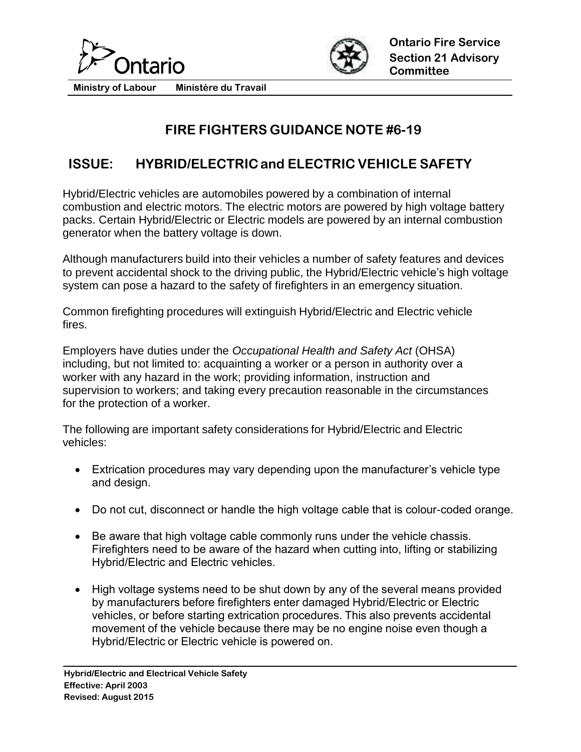



**Ministry of Labour Ministére du Travail**

## **FIRE FIGHTERS GUIDANCE NOTE #6-19**

## **ISSUE: HYBRID/ELECTRIC and ELECTRIC VEHICLE SAFETY**

Hybrid/Electric vehicles are automobiles powered by a combination of internal combustion and electric motors. The electric motors are powered by high voltage battery packs. Certain Hybrid/Electric or Electric models are powered by an internal combustion generator when the battery voltage is down.

Although manufacturers build into their vehicles a number of safety features and devices to prevent accidental shock to the driving public, the Hybrid/Electric vehicle's high voltage system can pose a hazard to the safety of firefighters in an emergency situation.

Common firefighting procedures will extinguish Hybrid/Electric and Electric vehicle fires.

Employers have duties under the *Occupational Health and Safety Act* (OHSA) including, but not limited to: acquainting a worker or a person in authority over a worker with any hazard in the work; providing information, instruction and supervision to workers; and taking every precaution reasonable in the circumstances for the protection of a worker.

The following are important safety considerations for Hybrid/Electric and Electric vehicles:

- Extrication procedures may vary depending upon the manufacturer's vehicle type and design.
- Do not cut, disconnect or handle the high voltage cable that is colour-coded orange.
- Be aware that high voltage cable commonly runs under the vehicle chassis. Firefighters need to be aware of the hazard when cutting into, lifting or stabilizing Hybrid/Electric and Electric vehicles.
- High voltage systems need to be shut down by any of the several means provided by manufacturers before firefighters enter damaged Hybrid/Electric or Electric vehicles, or before starting extrication procedures. This also prevents accidental movement of the vehicle because there may be no engine noise even though a Hybrid/Electric or Electric vehicle is powered on.